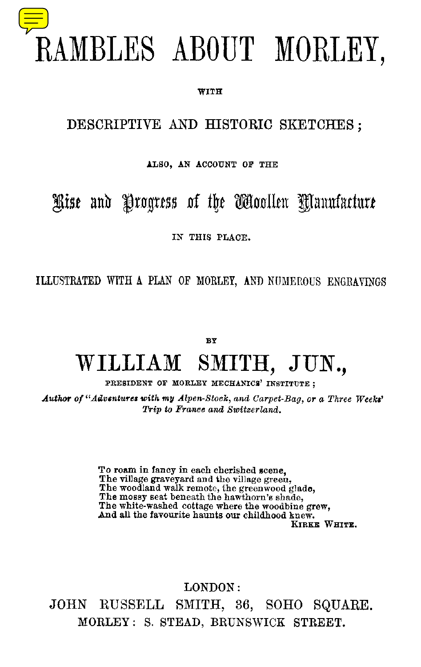

#### WITH

## DESCRIPTIVE AND HISTORIC SKETCHES ;

#### ALSO, AN ACCOUNT OF THE

## Rise and Progress of the Woollen Manufacture

### IN THIS PLACE.

ILLUSTRATED WITH A PLAN OF MORLEY, AND NUMEROUS ENGRAVINGS

**BY**

## **WILLIAM SMITH, JUN.,**

PRESIDENT OF MORLEY MECHANICS' INSTITUTE ;

*Author of "Adventures with my Alpenstock, and Carpet-Bag, or a Three Weeks' Trip to France and Switzerland.*

> To roam in *fancy in* each cherished scene, The village graveyard and the village green, The woodland walk remote, the greenwood *glade,* The mossy seat beneath the hawthorn's shade, The white-washed cottage where the woodbine grew, And all the favourite haunts our childhood knew. KIRKE WHITE.

LONDON: JOHN RUSSELL SMITH, 36, SOHO SQUARE. MORLEY : S. STEAD, BRUNSWICK STREET.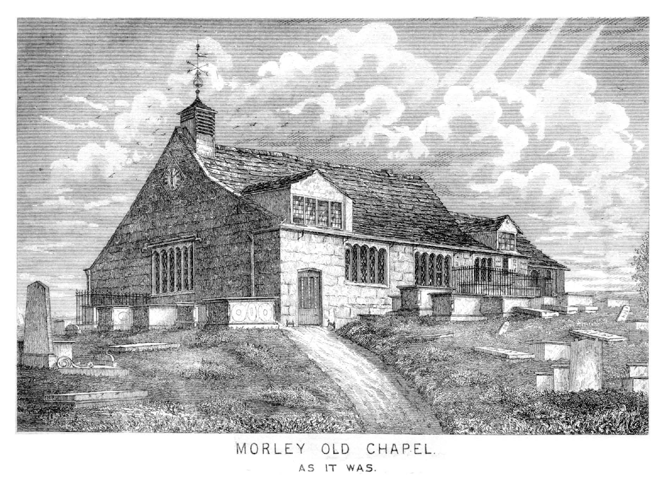

# MORLEY OLD CHAPEL.

AS IT WAS.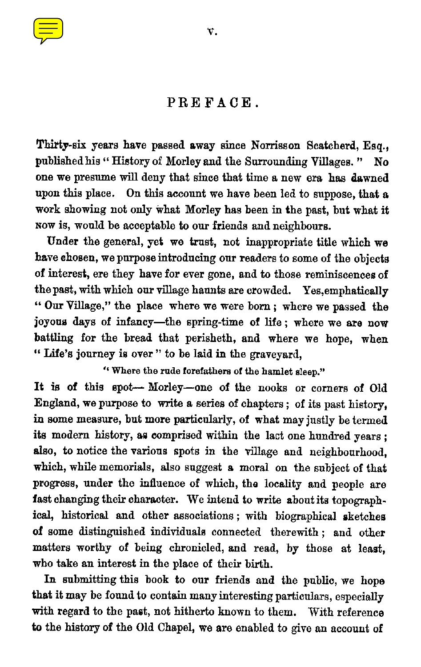

Thirty-six years have passed away since Norrisson Scatcherd, Esq., published his " History of Morley and the Surrounding Villages. " No one we presume will deny that since that time a new era has dawned upon this place. On this account we have been led to suppose, that a work showing not only what Morley has been in the past, but what it Now is, would be acceptable to our friends and neighbours.

Under the general, yet we trust, not inappropriate title which we have chosen, we purpose introducing our readers to some of the objects of interest, ere they have for ever gone, and to those reminiscences of the past, with which our village haunts are crowded. Yes,emphatically " Our Village," the place where we were born ; where we passed the joyous days of infancy—the spring-time of life; where we are now battling for the bread that perisheth, and where we hope, when " Life's journey is over " to be laid *in* the graveyard,

*"Where* the rude forefathers of the hamlet sleep."

It is of this spot— Morley—one of the nooks or corners of Old England, we purpose to write a series of chapters ; of its past history, in some measure, but more particularly, of what may justly be termed its modern history, as comprised within the last one hundred years ; also, to notice the various spots in the village and neighbourhood, which, while memorials, also suggest a moral on the subject of that progress, under the influence of which, the locality and people are fast changing their character. We intend to write about its topographical, historical and other associations ; with biographical sketches of some distinguished individuals connected therewith ; and other matters worthy of being chronicled, and read, by those at least, who take an interest in the place of their birth.

In submitting this book to our friends and the public, *we* hope that it may be found to contain many interesting particulars, especially with regard to the past, not hitherto known to them. With reference *to* the history of the Old Chapel, we are enabled to give an account of